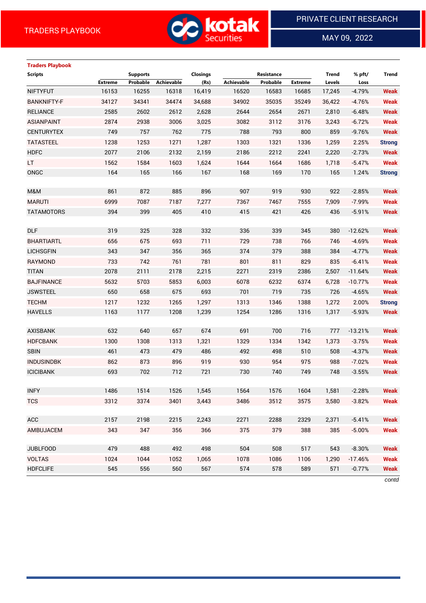

MAY 09, 2022

 $\overline{a}$ 

| <b>Traders Playbook</b> |                |                 |            |                 |                   |            |                |              |           |               |
|-------------------------|----------------|-----------------|------------|-----------------|-------------------|------------|----------------|--------------|-----------|---------------|
| <b>Scripts</b>          |                | <b>Supports</b> |            | <b>Closings</b> |                   | Resistance |                | <b>Trend</b> | % pft/    | Trend         |
|                         | <b>Extreme</b> | Probable        | Achievable | (Rs)            | <b>Achievable</b> | Probable   | <b>Extreme</b> | Levels       | Loss      |               |
| <b>NIFTYFUT</b>         | 16153          | 16255           | 16318      | 16,419          | 16520             | 16583      | 16685          | 17,245       | $-4.79%$  | <b>Weak</b>   |
| <b>BANKNIFTY-F</b>      | 34127          | 34341           | 34474      | 34,688          | 34902             | 35035      | 35249          | 36,422       | $-4.76%$  | <b>Weak</b>   |
| <b>RELIANCE</b>         | 2585           | 2602            | 2612       | 2,628           | 2644              | 2654       | 2671           | 2,810        | $-6.48%$  | <b>Weak</b>   |
| <b>ASIANPAINT</b>       | 2874           | 2938            | 3006       | 3,025           | 3082              | 3112       | 3176           | 3,243        | $-6.72%$  | <b>Weak</b>   |
| <b>CENTURYTEX</b>       | 749            | 757             | 762        | 775             | 788               | 793        | 800            | 859          | $-9.76%$  | <b>Weak</b>   |
| <b>TATASTEEL</b>        | 1238           | 1253            | 1271       | 1,287           | 1303              | 1321       | 1336           | 1,259        | 2.25%     | <b>Strong</b> |
| <b>HDFC</b>             | 2077           | 2106            | 2132       | 2,159           | 2186              | 2212       | 2241           | 2,220        | $-2.73%$  | <b>Weak</b>   |
| LT.                     | 1562           | 1584            | 1603       | 1,624           | 1644              | 1664       | 1686           | 1,718        | $-5.47%$  | <b>Weak</b>   |
| ONGC                    | 164            | 165             | 166        | 167             | 168               | 169        | 170            | 165          | 1.24%     | <b>Strong</b> |
|                         |                |                 |            |                 |                   |            |                |              |           |               |
| M&M                     | 861            | 872             | 885        | 896             | 907               | 919        | 930            | 922          | $-2.85%$  | <b>Weak</b>   |
| <b>MARUTI</b>           | 6999           | 7087            | 7187       | 7,277           | 7367              | 7467       | 7555           | 7,909        | $-7.99%$  | <b>Weak</b>   |
| <b>TATAMOTORS</b>       | 394            | 399             | 405        | 410             | 415               | 421        | 426            | 436          | $-5.91%$  | <b>Weak</b>   |
|                         |                |                 |            |                 |                   |            |                |              |           |               |
| <b>DLF</b>              | 319            | 325             | 328        | 332             | 336               | 339        | 345            | 380          | $-12.62%$ | <b>Weak</b>   |
| <b>BHARTIARTL</b>       | 656            | 675             | 693        | 711             | 729               | 738        | 766            | 746          | $-4.69%$  | <b>Weak</b>   |
| <b>LICHSGFIN</b>        | 343            | 347             | 356        | 365             | 374               | 379        | 388            | 384          | $-4.77%$  | <b>Weak</b>   |
| <b>RAYMOND</b>          | 733            | 742             | 761        | 781             | 801               | 811        | 829            | 835          | $-6.41%$  | <b>Weak</b>   |
| <b>TITAN</b>            | 2078           | 2111            | 2178       | 2,215           | 2271              | 2319       | 2386           | 2,507        | $-11.64%$ | <b>Weak</b>   |
| <b>BAJFINANCE</b>       | 5632           | 5703            | 5853       | 6,003           | 6078              | 6232       | 6374           | 6,728        | $-10.77%$ | <b>Weak</b>   |
| <b>JSWSTEEL</b>         | 650            | 658             | 675        | 693             | 701               | 719        | 735            | 726          | $-4.65%$  | <b>Weak</b>   |
| <b>TECHM</b>            | 1217           | 1232            | 1265       | 1,297           | 1313              | 1346       | 1388           | 1,272        | 2.00%     | <b>Strong</b> |
| <b>HAVELLS</b>          | 1163           | 1177            | 1208       | 1,239           | 1254              | 1286       | 1316           | 1,317        | $-5.93%$  | <b>Weak</b>   |
|                         |                |                 |            |                 |                   |            |                |              |           |               |
| <b>AXISBANK</b>         | 632            | 640             | 657        | 674             | 691               | 700        | 716            | 777          | $-13.21%$ | <b>Weak</b>   |
| <b>HDFCBANK</b>         | 1300           | 1308            | 1313       | 1,321           | 1329              | 1334       | 1342           | 1,373        | $-3.75%$  | <b>Weak</b>   |
| <b>SBIN</b>             | 461            | 473             | 479        | 486             | 492               | 498        | 510            | 508          | $-4.37%$  | <b>Weak</b>   |
| <b>INDUSINDBK</b>       | 862            | 873             | 896        | 919             | 930               | 954        | 975            | 988          | $-7.02%$  | <b>Weak</b>   |
| <b>ICICIBANK</b>        | 693            | 702             | 712        | 721             | 730               | 740        | 749            | 748          | $-3.55%$  | <b>Weak</b>   |
|                         |                |                 |            |                 |                   |            |                |              |           |               |
| <b>INFY</b>             | 1486           | 1514            | 1526       | 1,545           | 1564              | 1576       | 1604           | 1,581        | $-2.28%$  | <b>Weak</b>   |
| <b>TCS</b>              | 3312           | 3374            | 3401       | 3,443           | 3486              | 3512       | 3575           | 3,580        | $-3.82%$  | <b>Weak</b>   |
|                         |                |                 |            |                 |                   |            |                |              |           |               |
| ACC                     | 2157           | 2198            | 2215       | 2,243           | 2271              | 2288       | 2329           | 2,371        | $-5.41%$  | <b>Weak</b>   |
| AMBUJACEM               | 343            | 347             | 356        | 366             | 375               | 379        | 388            | 385          | $-5.00%$  | <b>Weak</b>   |
|                         |                |                 |            |                 |                   |            |                |              |           |               |
| <b>JUBLFOOD</b>         | 479            | 488             | 492        | 498             | 504               | 508        | 517            | 543          | $-8.30%$  | <b>Weak</b>   |
| <b>VOLTAS</b>           | 1024           | 1044            | 1052       | 1,065           | 1078              | 1086       | 1106           | 1,290        | $-17.46%$ | <b>Weak</b>   |
| <b>HDFCLIFE</b>         | 545            | 556             | 560        | 567             | 574               | 578        | 589            | 571          | $-0.77%$  | <b>Weak</b>   |

*contd*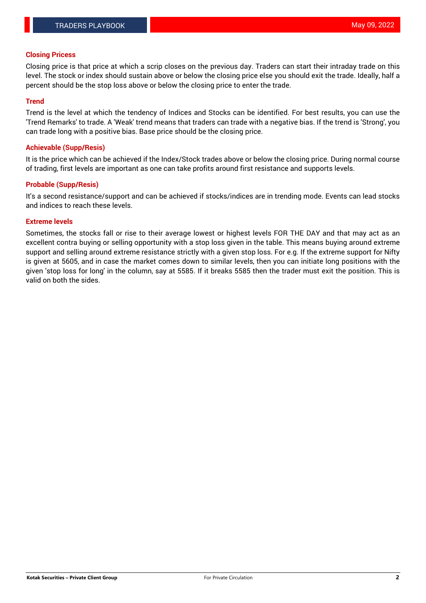### **Closing Pricess**

Closing price is that price at which a scrip closes on the previous day. Traders can start their intraday trade on this level. The stock or index should sustain above or below the closing price else you should exit the trade. Ideally, half a percent should be the stop loss above or below the closing price to enter the trade.

## **Trend**

Trend is the level at which the tendency of Indices and Stocks can be identified. For best results, you can use the 'Trend Remarks' to trade. A 'Weak' trend means that traders can trade with a negative bias. If the trend is 'Strong', you can trade long with a positive bias. Base price should be the closing price.

### **Achievable (Supp/Resis)**

It is the price which can be achieved if the Index/Stock trades above or below the closing price. During normal course of trading, first levels are important as one can take profits around first resistance and supports levels.

## **Probable (Supp/Resis)**

It's a second resistance/support and can be achieved if stocks/indices are in trending mode. Events can lead stocks and indices to reach these levels.

#### **Extreme levels**

Sometimes, the stocks fall or rise to their average lowest or highest levels FOR THE DAY and that may act as an excellent contra buying or selling opportunity with a stop loss given in the table. This means buying around extreme support and selling around extreme resistance strictly with a given stop loss. For e.g. If the extreme support for Nifty is given at 5605, and in case the market comes down to similar levels, then you can initiate long positions with the given 'stop loss for long' in the column, say at 5585. If it breaks 5585 then the trader must exit the position. This is valid on both the sides.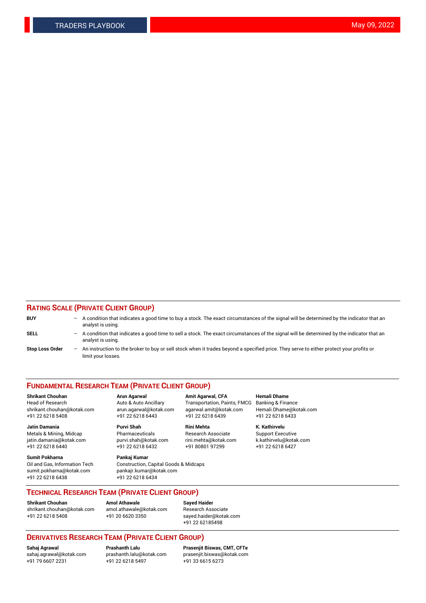## **RATING SCALE (PRIVATE CLIENT GROUP)**

| <b>BUY</b>             | $-$ | A condition that indicates a good time to buy a stock. The exact circumstances of the signal will be determined by the indicator that an<br>analyst is using.    |
|------------------------|-----|------------------------------------------------------------------------------------------------------------------------------------------------------------------|
| <b>SELL</b>            |     | - A condition that indicates a good time to sell a stock. The exact circumstances of the signal will be determined by the indicator that an<br>analyst is using. |
| <b>Stop Loss Order</b> | $-$ | An instruction to the broker to buy or sell stock when it trades beyond a specified price. They serve to either protect your profits or<br>limit your losses.    |

#### **FUNDAMENTAL RESEARCH TEAM (PRIVATE CLIENT GROUP)**

**Shrikant Chouhan Arun Agarwal Amit Agarwal, CFA Hemali Dhame** Head of Research Auto & Auto Ancillary Transportation, Paints, FMCG Banking & Finance shrikant.chouhan@kotak.com arun.agarwal@kotak.com agarwal.amit@kotak.com Hemali.Dhame@kotak.com

**Jatin Damania Purvi Shah Rini Mehta K. Kathirvelu** Metals & Mining, Midcap **Pharmaceuticals** Research Associate Support Executive jatin.damania@kotak.com [purvi.shah@kotak.com](mailto:purvi.shah@kotak.com) rini.mehta@kotak.com [k.kathirvelu@kotak.com](mailto:k.kathirvelu@kotak.com)  $+91$  22 6218 6440  $+91$  22 6218 6432

**Sumit Pokharna Pankaj Kumar** sumit.pokharna@kotak.com pankajr.kumar@kotak.com +91 22 6218 6438 +91 22 6218 6434

Oil and Gas, Information Tech Construction, Capital Goods & Midcaps

+91 22 6218 5408 +91 22 6218 6443 +91 22 6218 6439 +91 22 6218 6433

**TECHNICAL RESEARCH TEAM (PRIVATE CLIENT GROUP)**

**Shrikant Chouhan Amol Athawale Sayed Haider** [shrikant.chouhan@kotak.com](mailto:shrikant.chouhan@kotak.com) [amol.athawale@kotak.com](mailto:amol.athawale@kotak.com) Research Associate +91 22 6218 5408 +91 20 6620 3350 [sayed.haider@kotak.com](mailto:sayed.haider@kotak.com)

+91 22 62185498

# **DERIVATIVES RESEARCH TEAM (PRIVATE CLIENT GROUP)**

 $+91$  22 6218 5497

**Sahaj Agrawal Prashanth Lalu Prasenjit Biswas, CMT, CFTe** [sahaj.agrawal@kotak.com](mailto:sahaj.agrawal@kotak.com) [prashanth.lalu@kotak.com](mailto:prashanth.lalu@kotak.com) [prasenjit.biswas@kotak.com](mailto:prasenjit.biswas@kotak.com)